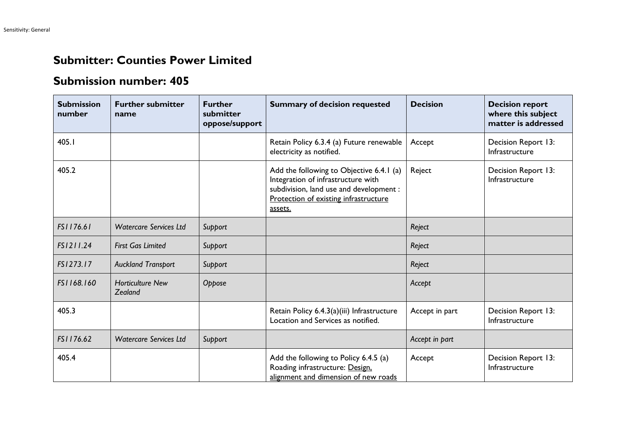## **Submitter: Counties Power Limited**

## **Submission number: 405**

| <b>Submission</b><br>number | <b>Further submitter</b><br>name   | <b>Further</b><br>submitter<br>oppose/support | <b>Summary of decision requested</b>                                                                                                                                          | <b>Decision</b> | <b>Decision report</b><br>where this subject<br>matter is addressed |
|-----------------------------|------------------------------------|-----------------------------------------------|-------------------------------------------------------------------------------------------------------------------------------------------------------------------------------|-----------------|---------------------------------------------------------------------|
| 405.I                       |                                    |                                               | Retain Policy 6.3.4 (a) Future renewable<br>electricity as notified.                                                                                                          | Accept          | Decision Report 13:<br>Infrastructure                               |
| 405.2                       |                                    |                                               | Add the following to Objective 6.4.1 (a)<br>Integration of infrastructure with<br>subdivision, land use and development :<br>Protection of existing infrastructure<br>assets. | Reject          | Decision Report 13:<br>Infrastructure                               |
| FS1176.61                   | <b>Watercare Services Ltd</b>      | Support                                       |                                                                                                                                                                               | Reject          |                                                                     |
| FS1211.24                   | <b>First Gas Limited</b>           | Support                                       |                                                                                                                                                                               | Reject          |                                                                     |
| FS1273.17                   | <b>Auckland Transport</b>          | Support                                       |                                                                                                                                                                               | Reject          |                                                                     |
| FS1168.160                  | <b>Horticulture New</b><br>Zealand | Oppose                                        |                                                                                                                                                                               | Accept          |                                                                     |
| 405.3                       |                                    |                                               | Retain Policy 6.4.3(a)(iii) Infrastructure<br>Location and Services as notified.                                                                                              | Accept in part  | Decision Report 13:<br>Infrastructure                               |
| FS1176.62                   | <b>Watercare Services Ltd</b>      | Support                                       |                                                                                                                                                                               | Accept in part  |                                                                     |
| 405.4                       |                                    |                                               | Add the following to Policy 6.4.5 (a)<br>Roading infrastructure: Design.<br>alignment and dimension of new roads                                                              | Accept          | Decision Report 13:<br>Infrastructure                               |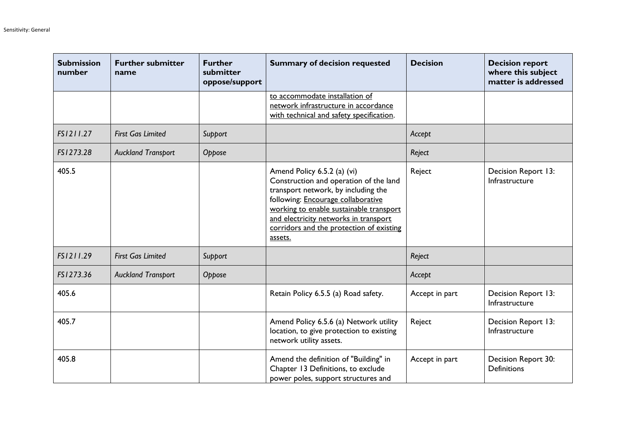| <b>Submission</b><br>number | <b>Further submitter</b><br>name | <b>Further</b><br>submitter<br>oppose/support | <b>Summary of decision requested</b>                                                                                                                                                                                                                                                          | <b>Decision</b> | <b>Decision report</b><br>where this subject<br>matter is addressed |
|-----------------------------|----------------------------------|-----------------------------------------------|-----------------------------------------------------------------------------------------------------------------------------------------------------------------------------------------------------------------------------------------------------------------------------------------------|-----------------|---------------------------------------------------------------------|
|                             |                                  |                                               | to accommodate installation of<br>network infrastructure in accordance<br>with technical and safety specification.                                                                                                                                                                            |                 |                                                                     |
| FS1211.27                   | <b>First Gas Limited</b>         | Support                                       |                                                                                                                                                                                                                                                                                               | Accept          |                                                                     |
| FS1273.28                   | <b>Auckland Transport</b>        | Oppose                                        |                                                                                                                                                                                                                                                                                               | Reject          |                                                                     |
| 405.5                       |                                  |                                               | Amend Policy 6.5.2 (a) (vi)<br>Construction and operation of the land<br>transport network, by including the<br>following: Encourage collaborative<br>working to enable sustainable transport<br>and electricity networks in transport<br>corridors and the protection of existing<br>assets. | Reject          | Decision Report 13:<br>Infrastructure                               |
| FS1211.29                   | <b>First Gas Limited</b>         | Support                                       |                                                                                                                                                                                                                                                                                               | Reject          |                                                                     |
| FS1273.36                   | <b>Auckland Transport</b>        | Oppose                                        |                                                                                                                                                                                                                                                                                               | Accept          |                                                                     |
| 405.6                       |                                  |                                               | Retain Policy 6.5.5 (a) Road safety.                                                                                                                                                                                                                                                          | Accept in part  | Decision Report 13:<br>Infrastructure                               |
| 405.7                       |                                  |                                               | Amend Policy 6.5.6 (a) Network utility<br>location, to give protection to existing<br>network utility assets.                                                                                                                                                                                 | Reject          | Decision Report 13:<br>Infrastructure                               |
| 405.8                       |                                  |                                               | Amend the definition of "Building" in<br>Chapter 13 Definitions, to exclude<br>power poles, support structures and                                                                                                                                                                            | Accept in part  | Decision Report 30:<br><b>Definitions</b>                           |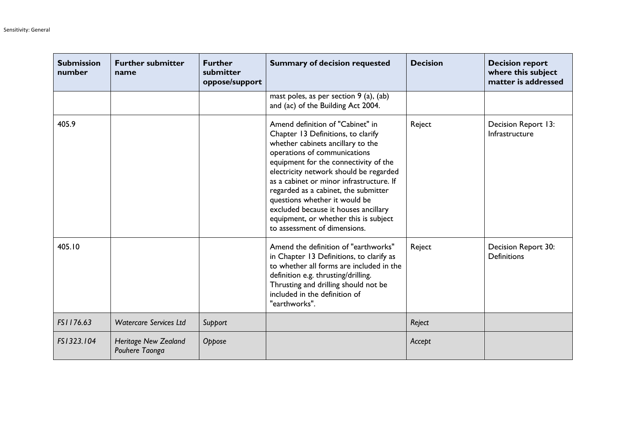| <b>Submission</b><br>number | <b>Further submitter</b><br>name              | <b>Further</b><br>submitter<br>oppose/support | <b>Summary of decision requested</b>                                                                                                                                                                                                                                                                                                                                                                                                                                 | <b>Decision</b> | <b>Decision report</b><br>where this subject<br>matter is addressed |
|-----------------------------|-----------------------------------------------|-----------------------------------------------|----------------------------------------------------------------------------------------------------------------------------------------------------------------------------------------------------------------------------------------------------------------------------------------------------------------------------------------------------------------------------------------------------------------------------------------------------------------------|-----------------|---------------------------------------------------------------------|
|                             |                                               |                                               | mast poles, as per section 9 (a), (ab)<br>and (ac) of the Building Act 2004.                                                                                                                                                                                                                                                                                                                                                                                         |                 |                                                                     |
| 405.9                       |                                               |                                               | Amend definition of "Cabinet" in<br>Chapter 13 Definitions, to clarify<br>whether cabinets ancillary to the<br>operations of communications<br>equipment for the connectivity of the<br>electricity network should be regarded<br>as a cabinet or minor infrastructure. If<br>regarded as a cabinet, the submitter<br>questions whether it would be<br>excluded because it houses ancillary<br>equipment, or whether this is subject<br>to assessment of dimensions. | Reject          | Decision Report 13:<br>Infrastructure                               |
| 405.10                      |                                               |                                               | Amend the definition of "earthworks"<br>in Chapter 13 Definitions, to clarify as<br>to whether all forms are included in the<br>definition e.g. thrusting/drilling.<br>Thrusting and drilling should not be<br>included in the definition of<br>"earthworks".                                                                                                                                                                                                        | Reject          | Decision Report 30:<br><b>Definitions</b>                           |
| FS1176.63                   | <b>Watercare Services Ltd</b>                 | Support                                       |                                                                                                                                                                                                                                                                                                                                                                                                                                                                      | Reject          |                                                                     |
| FS1323.104                  | <b>Heritage New Zealand</b><br>Pouhere Taonga | Oppose                                        |                                                                                                                                                                                                                                                                                                                                                                                                                                                                      | Accept          |                                                                     |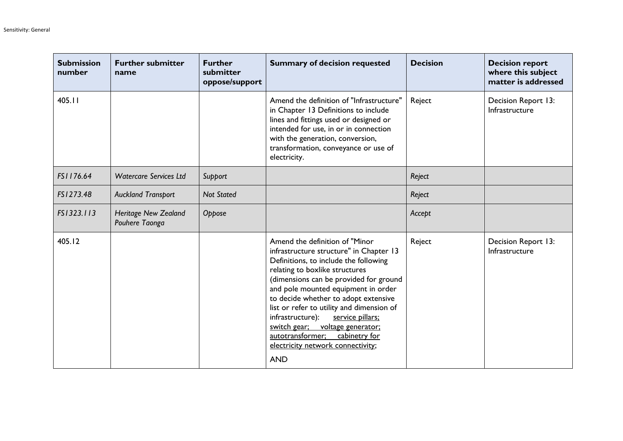| <b>Submission</b><br>number | <b>Further submitter</b><br>name              | <b>Further</b><br>submitter<br>oppose/support | <b>Summary of decision requested</b>                                                                                                                                                                                                                                                                                                                                                                                                                                                             | <b>Decision</b> | <b>Decision report</b><br>where this subject<br>matter is addressed |
|-----------------------------|-----------------------------------------------|-----------------------------------------------|--------------------------------------------------------------------------------------------------------------------------------------------------------------------------------------------------------------------------------------------------------------------------------------------------------------------------------------------------------------------------------------------------------------------------------------------------------------------------------------------------|-----------------|---------------------------------------------------------------------|
| 405.11                      |                                               |                                               | Amend the definition of "Infrastructure"<br>in Chapter 13 Definitions to include<br>lines and fittings used or designed or<br>intended for use, in or in connection<br>with the generation, conversion,<br>transformation, conveyance or use of<br>electricity.                                                                                                                                                                                                                                  | Reject          | Decision Report 13:<br>Infrastructure                               |
| FS1176.64                   | <b>Watercare Services Ltd</b>                 | Support                                       |                                                                                                                                                                                                                                                                                                                                                                                                                                                                                                  | Reject          |                                                                     |
| FS1273.48                   | <b>Auckland Transport</b>                     | <b>Not Stated</b>                             |                                                                                                                                                                                                                                                                                                                                                                                                                                                                                                  | Reject          |                                                                     |
| FS1323.113                  | <b>Heritage New Zealand</b><br>Pouhere Taonga | Oppose                                        |                                                                                                                                                                                                                                                                                                                                                                                                                                                                                                  | Accept          |                                                                     |
| 405.12                      |                                               |                                               | Amend the definition of "Minor<br>infrastructure structure" in Chapter 13<br>Definitions, to include the following<br>relating to boxlike structures<br>(dimensions can be provided for ground<br>and pole mounted equipment in order<br>to decide whether to adopt extensive<br>list or refer to utility and dimension of<br>infrastructure):<br>service pillars;<br>switch gear;<br>voltage generator;<br>autotransformer;<br>cabinetry for<br>electricity network connectivity;<br><b>AND</b> | Reject          | Decision Report 13:<br>Infrastructure                               |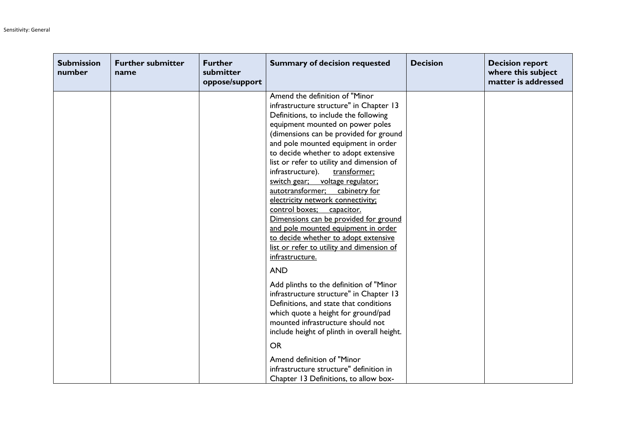| <b>Submission</b><br>number | <b>Further submitter</b><br>name | <b>Further</b><br>submitter<br>oppose/support | <b>Summary of decision requested</b>                                                                                                                                                                                                                                                                                                                                                                                                                                                                                                                                                                                                                                                                           | <b>Decision</b> | <b>Decision report</b><br>where this subject<br>matter is addressed |
|-----------------------------|----------------------------------|-----------------------------------------------|----------------------------------------------------------------------------------------------------------------------------------------------------------------------------------------------------------------------------------------------------------------------------------------------------------------------------------------------------------------------------------------------------------------------------------------------------------------------------------------------------------------------------------------------------------------------------------------------------------------------------------------------------------------------------------------------------------------|-----------------|---------------------------------------------------------------------|
|                             |                                  |                                               | Amend the definition of "Minor"<br>infrastructure structure" in Chapter 13<br>Definitions, to include the following<br>equipment mounted on power poles<br>(dimensions can be provided for ground<br>and pole mounted equipment in order<br>to decide whether to adopt extensive<br>list or refer to utility and dimension of<br>infrastructure).<br>transformer;<br>switch gear; voltage regulator;<br>autotransformer; cabinetry for<br>electricity network connectivity;<br>control boxes; capacitor.<br>Dimensions can be provided for ground<br>and pole mounted equipment in order<br>to decide whether to adopt extensive<br>list or refer to utility and dimension of<br>infrastructure.<br><b>AND</b> |                 |                                                                     |
|                             |                                  |                                               | Add plinths to the definition of "Minor<br>infrastructure structure" in Chapter 13<br>Definitions, and state that conditions<br>which quote a height for ground/pad<br>mounted infrastructure should not<br>include height of plinth in overall height.                                                                                                                                                                                                                                                                                                                                                                                                                                                        |                 |                                                                     |
|                             |                                  |                                               | <b>OR</b><br>Amend definition of "Minor<br>infrastructure structure" definition in<br>Chapter 13 Definitions, to allow box-                                                                                                                                                                                                                                                                                                                                                                                                                                                                                                                                                                                    |                 |                                                                     |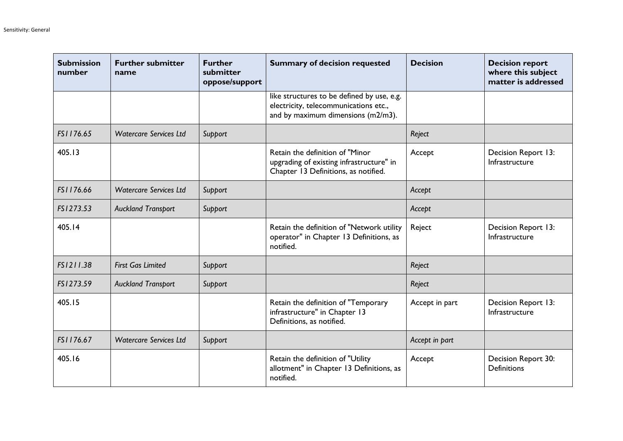| <b>Submission</b><br>number | <b>Further submitter</b><br>name | <b>Further</b><br>submitter<br>oppose/support | <b>Summary of decision requested</b>                                                                                      | <b>Decision</b> | <b>Decision report</b><br>where this subject<br>matter is addressed |
|-----------------------------|----------------------------------|-----------------------------------------------|---------------------------------------------------------------------------------------------------------------------------|-----------------|---------------------------------------------------------------------|
|                             |                                  |                                               | like structures to be defined by use, e.g.<br>electricity, telecommunications etc.,<br>and by maximum dimensions (m2/m3). |                 |                                                                     |
| FS1176.65                   | <b>Watercare Services Ltd</b>    | Support                                       |                                                                                                                           | Reject          |                                                                     |
| 405.13                      |                                  |                                               | Retain the definition of "Minor<br>upgrading of existing infrastructure" in<br>Chapter 13 Definitions, as notified.       | Accept          | Decision Report 13:<br>Infrastructure                               |
| FS1176.66                   | <b>Watercare Services Ltd</b>    | Support                                       |                                                                                                                           | Accept          |                                                                     |
| FS1273.53                   | <b>Auckland Transport</b>        | Support                                       |                                                                                                                           | Accept          |                                                                     |
| 405.14                      |                                  |                                               | Retain the definition of "Network utility<br>operator" in Chapter 13 Definitions, as<br>notified.                         | Reject          | Decision Report 13:<br>Infrastructure                               |
| FS1211.38                   | <b>First Gas Limited</b>         | Support                                       |                                                                                                                           | Reject          |                                                                     |
| FS1273.59                   | <b>Auckland Transport</b>        | Support                                       |                                                                                                                           | Reject          |                                                                     |
| 405.15                      |                                  |                                               | Retain the definition of "Temporary<br>infrastructure" in Chapter 13<br>Definitions, as notified.                         | Accept in part  | Decision Report 13:<br>Infrastructure                               |
| FS1176.67                   | <b>Watercare Services Ltd</b>    | Support                                       |                                                                                                                           | Accept in part  |                                                                     |
| 405.16                      |                                  |                                               | Retain the definition of "Utility<br>allotment" in Chapter 13 Definitions, as<br>notified.                                | Accept          | Decision Report 30:<br><b>Definitions</b>                           |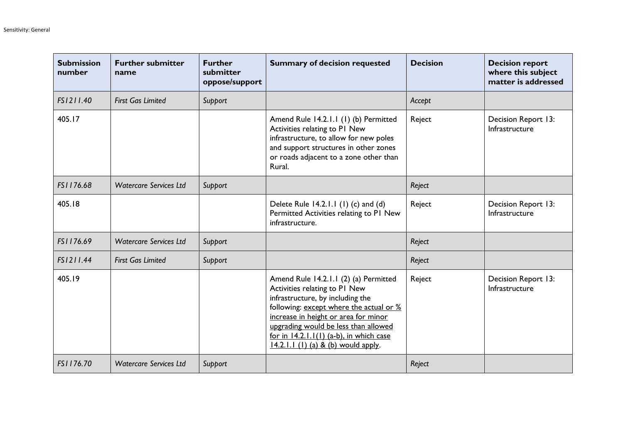| <b>Submission</b><br>number | <b>Further submitter</b><br>name | <b>Further</b><br>submitter<br>oppose/support | <b>Summary of decision requested</b>                                                                                                                                                                                                                                                                                        | <b>Decision</b> | <b>Decision report</b><br>where this subject<br>matter is addressed |
|-----------------------------|----------------------------------|-----------------------------------------------|-----------------------------------------------------------------------------------------------------------------------------------------------------------------------------------------------------------------------------------------------------------------------------------------------------------------------------|-----------------|---------------------------------------------------------------------|
| FS1211.40                   | <b>First Gas Limited</b>         | Support                                       |                                                                                                                                                                                                                                                                                                                             | Accept          |                                                                     |
| 405.17                      |                                  |                                               | Amend Rule 14.2.1.1 (1) (b) Permitted<br>Activities relating to PI New<br>infrastructure, to allow for new poles<br>and support structures in other zones<br>or roads adjacent to a zone other than<br>Rural.                                                                                                               | Reject          | Decision Report 13:<br>Infrastructure                               |
| FS1176.68                   | <b>Watercare Services Ltd</b>    | Support                                       |                                                                                                                                                                                                                                                                                                                             | Reject          |                                                                     |
| 405.18                      |                                  |                                               | Delete Rule 14.2.1.1 (1) (c) and (d)<br>Permitted Activities relating to PI New<br>infrastructure.                                                                                                                                                                                                                          | Reject          | Decision Report 13:<br>Infrastructure                               |
| FS1176.69                   | <b>Watercare Services Ltd</b>    | Support                                       |                                                                                                                                                                                                                                                                                                                             | Reject          |                                                                     |
| FS1211.44                   | <b>First Gas Limited</b>         | Support                                       |                                                                                                                                                                                                                                                                                                                             | Reject          |                                                                     |
| 405.19                      |                                  |                                               | Amend Rule 14.2.1.1 (2) (a) Permitted<br>Activities relating to PI New<br>infrastructure, by including the<br>following: except where the actual or %<br>increase in height or area for minor<br>upgrading would be less than allowed<br>for in $14.2.1.1(1)$ (a-b), in which case<br>$14.2.1.1$ (1) (a) & (b) would apply. | Reject          | Decision Report 13:<br>Infrastructure                               |
| FS1176.70                   | <b>Watercare Services Ltd</b>    | Support                                       |                                                                                                                                                                                                                                                                                                                             | Reject          |                                                                     |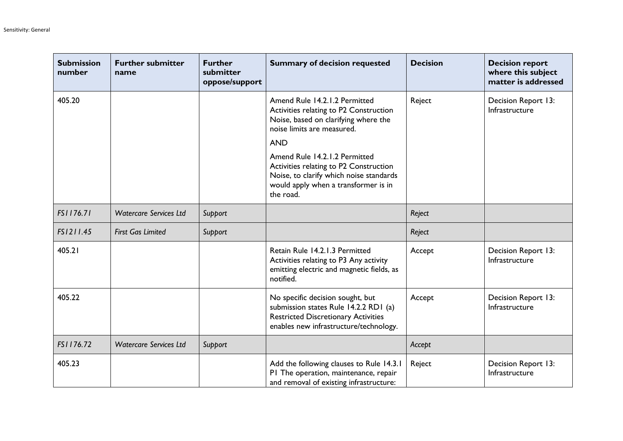| <b>Submission</b><br>number | <b>Further submitter</b><br>name | <b>Further</b><br>submitter<br>oppose/support | <b>Summary of decision requested</b>                                                                                                                                    | <b>Decision</b> | <b>Decision report</b><br>where this subject<br>matter is addressed |
|-----------------------------|----------------------------------|-----------------------------------------------|-------------------------------------------------------------------------------------------------------------------------------------------------------------------------|-----------------|---------------------------------------------------------------------|
| 405.20                      |                                  |                                               | Amend Rule 14.2.1.2 Permitted<br>Activities relating to P2 Construction<br>Noise, based on clarifying where the<br>noise limits are measured.                           | Reject          | Decision Report 13:<br>Infrastructure                               |
|                             |                                  |                                               | <b>AND</b>                                                                                                                                                              |                 |                                                                     |
|                             |                                  |                                               | Amend Rule 14.2.1.2 Permitted<br>Activities relating to P2 Construction<br>Noise, to clarify which noise standards<br>would apply when a transformer is in<br>the road. |                 |                                                                     |
| FS1176.71                   | <b>Watercare Services Ltd</b>    | Support                                       |                                                                                                                                                                         | Reject          |                                                                     |
| FS1211.45                   | <b>First Gas Limited</b>         | Support                                       |                                                                                                                                                                         | Reject          |                                                                     |
| 405.21                      |                                  |                                               | Retain Rule 14.2.1.3 Permitted<br>Activities relating to P3 Any activity<br>emitting electric and magnetic fields, as<br>notified.                                      | Accept          | Decision Report 13:<br>Infrastructure                               |
| 405.22                      |                                  |                                               | No specific decision sought, but<br>submission states Rule 14.2.2 RD1 (a)<br><b>Restricted Discretionary Activities</b><br>enables new infrastructure/technology.       | Accept          | Decision Report 13:<br>Infrastructure                               |
| FS1176.72                   | <b>Watercare Services Ltd</b>    | Support                                       |                                                                                                                                                                         | Accept          |                                                                     |
| 405.23                      |                                  |                                               | Add the following clauses to Rule 14.3.1<br>PI The operation, maintenance, repair<br>and removal of existing infrastructure:                                            | Reject          | Decision Report 13:<br>Infrastructure                               |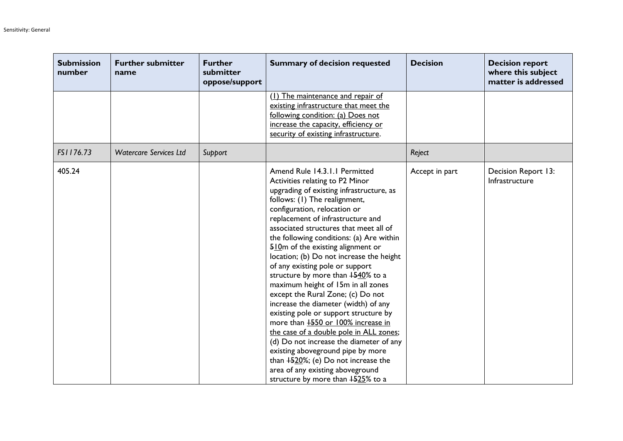| <b>Submission</b><br>number | <b>Further submitter</b><br>name | <b>Further</b><br>submitter<br>oppose/support | <b>Summary of decision requested</b>                                                                                                                                                                                                                                                                                                                                                                                                                                                                                                                                                                                                                                                                                                                                                                                                                                                                                                     | <b>Decision</b> | <b>Decision report</b><br>where this subject<br>matter is addressed |
|-----------------------------|----------------------------------|-----------------------------------------------|------------------------------------------------------------------------------------------------------------------------------------------------------------------------------------------------------------------------------------------------------------------------------------------------------------------------------------------------------------------------------------------------------------------------------------------------------------------------------------------------------------------------------------------------------------------------------------------------------------------------------------------------------------------------------------------------------------------------------------------------------------------------------------------------------------------------------------------------------------------------------------------------------------------------------------------|-----------------|---------------------------------------------------------------------|
|                             |                                  |                                               | (1) The maintenance and repair of<br>existing infrastructure that meet the<br>following condition: (a) Does not<br>increase the capacity, efficiency or<br>security of existing infrastructure.                                                                                                                                                                                                                                                                                                                                                                                                                                                                                                                                                                                                                                                                                                                                          |                 |                                                                     |
| FS1176.73                   | <b>Watercare Services Ltd</b>    | Support                                       |                                                                                                                                                                                                                                                                                                                                                                                                                                                                                                                                                                                                                                                                                                                                                                                                                                                                                                                                          | Reject          |                                                                     |
| 405.24                      |                                  |                                               | Amend Rule 14.3.1.1 Permitted<br>Activities relating to P2 Minor<br>upgrading of existing infrastructure, as<br>follows: (1) The realignment,<br>configuration, relocation or<br>replacement of infrastructure and<br>associated structures that meet all of<br>the following conditions: (a) Are within<br>510 <sub>m</sub> of the existing alignment or<br>location; (b) Do not increase the height<br>of any existing pole or support<br>structure by more than $+540\%$ to a<br>maximum height of 15m in all zones<br>except the Rural Zone; (c) Do not<br>increase the diameter (width) of any<br>existing pole or support structure by<br>more than <b>1550</b> or 100% increase in<br>the case of a double pole in ALL zones;<br>(d) Do not increase the diameter of any<br>existing aboveground pipe by more<br>than $+520\%$ ; (e) Do not increase the<br>area of any existing aboveground<br>structure by more than 1525% to a | Accept in part  | Decision Report 13:<br>Infrastructure                               |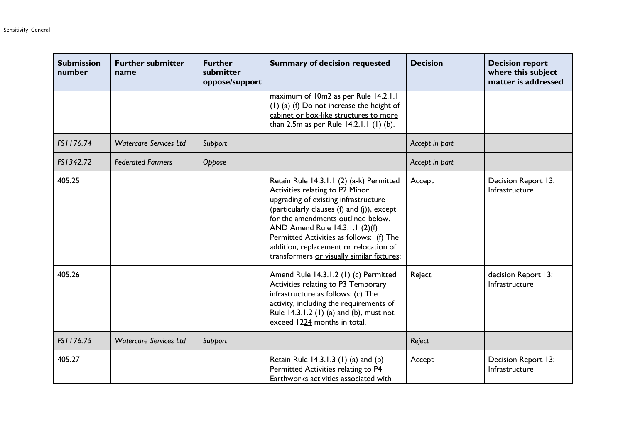| <b>Submission</b><br>number | <b>Further submitter</b><br>name | <b>Further</b><br>submitter<br>oppose/support | <b>Summary of decision requested</b>                                                                                                                                                                                                                                                                                                                                          | <b>Decision</b> | <b>Decision report</b><br>where this subject<br>matter is addressed |
|-----------------------------|----------------------------------|-----------------------------------------------|-------------------------------------------------------------------------------------------------------------------------------------------------------------------------------------------------------------------------------------------------------------------------------------------------------------------------------------------------------------------------------|-----------------|---------------------------------------------------------------------|
|                             |                                  |                                               | maximum of 10m2 as per Rule 14.2.1.1<br>(1) (a) (f) Do not increase the height of<br>cabinet or box-like structures to more<br>than 2.5m as per Rule 14.2.1.1 (1) (b).                                                                                                                                                                                                        |                 |                                                                     |
| FS1176.74                   | <b>Watercare Services Ltd</b>    | Support                                       |                                                                                                                                                                                                                                                                                                                                                                               | Accept in part  |                                                                     |
| FS1342.72                   | <b>Federated Farmers</b>         | Oppose                                        |                                                                                                                                                                                                                                                                                                                                                                               | Accept in part  |                                                                     |
| 405.25                      |                                  |                                               | Retain Rule 14.3.1.1 (2) (a-k) Permitted<br>Activities relating to P2 Minor<br>upgrading of existing infrastructure<br>(particularly clauses (f) and (j)), except<br>for the amendments outlined below.<br>AND Amend Rule 14.3.1.1 (2)(f)<br>Permitted Activities as follows: (f) The<br>addition, replacement or relocation of<br>transformers or visually similar fixtures; | Accept          | Decision Report 13:<br>Infrastructure                               |
| 405.26                      |                                  |                                               | Amend Rule 14.3.1.2 (1) (c) Permitted<br>Activities relating to P3 Temporary<br>infrastructure as follows: (c) The<br>activity, including the requirements of<br>Rule 14.3.1.2 (1) (a) and (b), must not<br>exceed +224 months in total.                                                                                                                                      | Reject          | decision Report 13:<br>Infrastructure                               |
| FS1176.75                   | <b>Watercare Services Ltd</b>    | Support                                       |                                                                                                                                                                                                                                                                                                                                                                               | Reject          |                                                                     |
| 405.27                      |                                  |                                               | Retain Rule 14.3.1.3 (1) (a) and (b)<br>Permitted Activities relating to P4<br>Earthworks activities associated with                                                                                                                                                                                                                                                          | Accept          | Decision Report 13:<br>Infrastructure                               |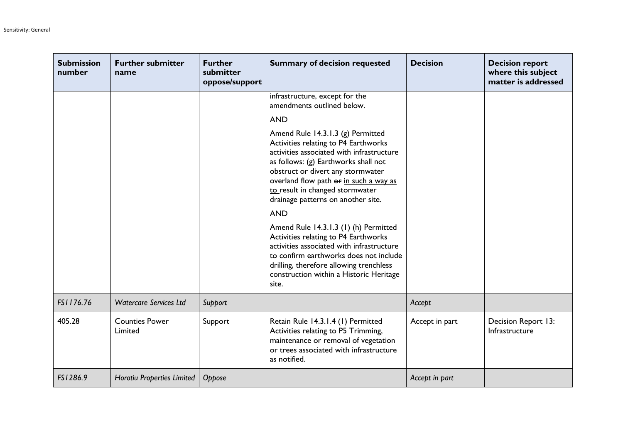| <b>Submission</b><br>number | <b>Further submitter</b><br>name  | <b>Further</b><br>submitter<br>oppose/support | <b>Summary of decision requested</b>                                                                                                                                                                                                                                                                                   | <b>Decision</b> | <b>Decision report</b><br>where this subject<br>matter is addressed |
|-----------------------------|-----------------------------------|-----------------------------------------------|------------------------------------------------------------------------------------------------------------------------------------------------------------------------------------------------------------------------------------------------------------------------------------------------------------------------|-----------------|---------------------------------------------------------------------|
|                             |                                   |                                               | infrastructure, except for the<br>amendments outlined below.                                                                                                                                                                                                                                                           |                 |                                                                     |
|                             |                                   |                                               | <b>AND</b>                                                                                                                                                                                                                                                                                                             |                 |                                                                     |
|                             |                                   |                                               | Amend Rule 14.3.1.3 (g) Permitted<br>Activities relating to P4 Earthworks<br>activities associated with infrastructure<br>as follows: (g) Earthworks shall not<br>obstruct or divert any stormwater<br>overland flow path or in such a way as<br>to result in changed stormwater<br>drainage patterns on another site. |                 |                                                                     |
|                             |                                   |                                               | <b>AND</b>                                                                                                                                                                                                                                                                                                             |                 |                                                                     |
|                             |                                   |                                               | Amend Rule 14.3.1.3 (1) (h) Permitted<br>Activities relating to P4 Earthworks<br>activities associated with infrastructure<br>to confirm earthworks does not include<br>drilling, therefore allowing trenchless<br>construction within a Historic Heritage<br>site.                                                    |                 |                                                                     |
| FS1176.76                   | <b>Watercare Services Ltd</b>     | Support                                       |                                                                                                                                                                                                                                                                                                                        | Accept          |                                                                     |
| 405.28                      | <b>Counties Power</b><br>Limited  | Support                                       | Retain Rule 14.3.1.4 (1) Permitted<br>Activities relating to P5 Trimming,<br>maintenance or removal of vegetation<br>or trees associated with infrastructure<br>as notified.                                                                                                                                           | Accept in part  | Decision Report 13:<br>Infrastructure                               |
| FS1286.9                    | <b>Horotiu Properties Limited</b> | Oppose                                        |                                                                                                                                                                                                                                                                                                                        | Accept in part  |                                                                     |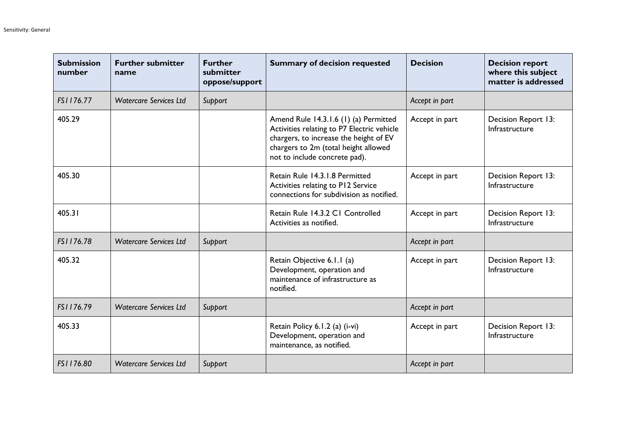| <b>Submission</b><br>number | <b>Further submitter</b><br>name | <b>Further</b><br>submitter<br>oppose/support | <b>Summary of decision requested</b>                                                                                                                                                                   | <b>Decision</b> | <b>Decision report</b><br>where this subject<br>matter is addressed |
|-----------------------------|----------------------------------|-----------------------------------------------|--------------------------------------------------------------------------------------------------------------------------------------------------------------------------------------------------------|-----------------|---------------------------------------------------------------------|
| FS1176.77                   | <b>Watercare Services Ltd</b>    | Support                                       |                                                                                                                                                                                                        | Accept in part  |                                                                     |
| 405.29                      |                                  |                                               | Amend Rule 14.3.1.6 (1) (a) Permitted<br>Activities relating to P7 Electric vehicle<br>chargers, to increase the height of EV<br>chargers to 2m (total height allowed<br>not to include concrete pad). | Accept in part  | Decision Report 13:<br>Infrastructure                               |
| 405.30                      |                                  |                                               | Retain Rule 14.3.1.8 Permitted<br>Activities relating to P12 Service<br>connections for subdivision as notified.                                                                                       | Accept in part  | Decision Report 13:<br>Infrastructure                               |
| 405.31                      |                                  |                                               | Retain Rule 14.3.2 C1 Controlled<br>Activities as notified.                                                                                                                                            | Accept in part  | Decision Report 13:<br>Infrastructure                               |
| FS1176.78                   | <b>Watercare Services Ltd</b>    | Support                                       |                                                                                                                                                                                                        | Accept in part  |                                                                     |
| 405.32                      |                                  |                                               | Retain Objective 6.1.1 (a)<br>Development, operation and<br>maintenance of infrastructure as<br>notified.                                                                                              | Accept in part  | Decision Report 13:<br>Infrastructure                               |
| FS1176.79                   | <b>Watercare Services Ltd</b>    | Support                                       |                                                                                                                                                                                                        | Accept in part  |                                                                     |
| 405.33                      |                                  |                                               | Retain Policy 6.1.2 (a) (i-vi)<br>Development, operation and<br>maintenance, as notified.                                                                                                              | Accept in part  | Decision Report 13:<br>Infrastructure                               |
| FS1176.80                   | <b>Watercare Services Ltd</b>    | Support                                       |                                                                                                                                                                                                        | Accept in part  |                                                                     |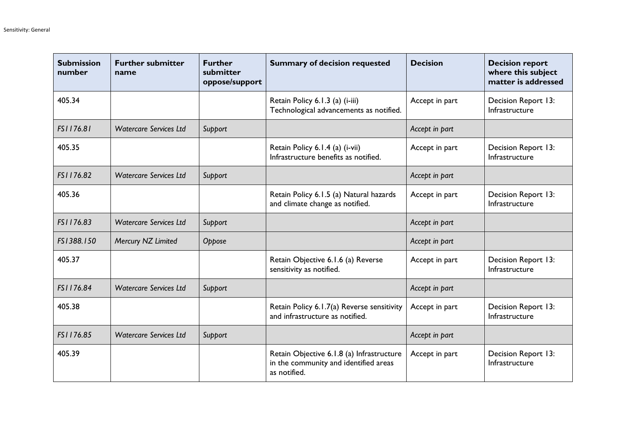| <b>Submission</b><br>number | <b>Further submitter</b><br>name | <b>Further</b><br>submitter<br>oppose/support | <b>Summary of decision requested</b>                                                               | <b>Decision</b> | <b>Decision report</b><br>where this subject<br>matter is addressed |
|-----------------------------|----------------------------------|-----------------------------------------------|----------------------------------------------------------------------------------------------------|-----------------|---------------------------------------------------------------------|
| 405.34                      |                                  |                                               | Retain Policy 6.1.3 (a) (i-iii)<br>Technological advancements as notified.                         | Accept in part  | Decision Report 13:<br>Infrastructure                               |
| FS1176.81                   | <b>Watercare Services Ltd</b>    | Support                                       |                                                                                                    | Accept in part  |                                                                     |
| 405.35                      |                                  |                                               | Retain Policy 6.1.4 (a) (i-vii)<br>Infrastructure benefits as notified.                            | Accept in part  | Decision Report 13:<br>Infrastructure                               |
| FS1176.82                   | <b>Watercare Services Ltd</b>    | Support                                       |                                                                                                    | Accept in part  |                                                                     |
| 405.36                      |                                  |                                               | Retain Policy 6.1.5 (a) Natural hazards<br>and climate change as notified.                         | Accept in part  | Decision Report 13:<br>Infrastructure                               |
| FS1176.83                   | <b>Watercare Services Ltd</b>    | Support                                       |                                                                                                    | Accept in part  |                                                                     |
| FS1388.150                  | Mercury NZ Limited               | Oppose                                        |                                                                                                    | Accept in part  |                                                                     |
| 405.37                      |                                  |                                               | Retain Objective 6.1.6 (a) Reverse<br>sensitivity as notified.                                     | Accept in part  | Decision Report 13:<br>Infrastructure                               |
| FS1176.84                   | <b>Watercare Services Ltd</b>    | Support                                       |                                                                                                    | Accept in part  |                                                                     |
| 405.38                      |                                  |                                               | Retain Policy 6.1.7(a) Reverse sensitivity<br>and infrastructure as notified.                      | Accept in part  | Decision Report 13:<br>Infrastructure                               |
| FS1176.85                   | <b>Watercare Services Ltd</b>    | Support                                       |                                                                                                    | Accept in part  |                                                                     |
| 405.39                      |                                  |                                               | Retain Objective 6.1.8 (a) Infrastructure<br>in the community and identified areas<br>as notified. | Accept in part  | Decision Report 13:<br>Infrastructure                               |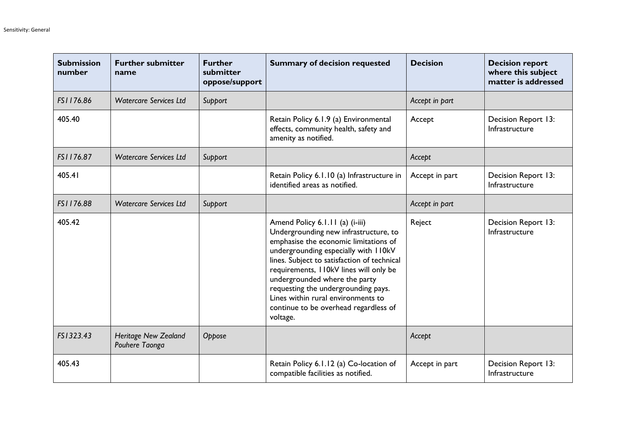| <b>Submission</b><br>number | <b>Further submitter</b><br>name              | <b>Further</b><br>submitter<br>oppose/support | <b>Summary of decision requested</b>                                                                                                                                                                                                                                                                                                                                                                                   | <b>Decision</b> | <b>Decision report</b><br>where this subject<br>matter is addressed |
|-----------------------------|-----------------------------------------------|-----------------------------------------------|------------------------------------------------------------------------------------------------------------------------------------------------------------------------------------------------------------------------------------------------------------------------------------------------------------------------------------------------------------------------------------------------------------------------|-----------------|---------------------------------------------------------------------|
| FS1176.86                   | <b>Watercare Services Ltd</b>                 | Support                                       |                                                                                                                                                                                                                                                                                                                                                                                                                        | Accept in part  |                                                                     |
| 405.40                      |                                               |                                               | Retain Policy 6.1.9 (a) Environmental<br>effects, community health, safety and<br>amenity as notified.                                                                                                                                                                                                                                                                                                                 | Accept          | Decision Report 13:<br>Infrastructure                               |
| FS1176.87                   | <b>Watercare Services Ltd</b>                 | Support                                       |                                                                                                                                                                                                                                                                                                                                                                                                                        | Accept          |                                                                     |
| 405.41                      |                                               |                                               | Retain Policy 6.1.10 (a) Infrastructure in<br>identified areas as notified.                                                                                                                                                                                                                                                                                                                                            | Accept in part  | Decision Report 13:<br>Infrastructure                               |
| FS1176.88                   | <b>Watercare Services Ltd</b>                 | Support                                       |                                                                                                                                                                                                                                                                                                                                                                                                                        | Accept in part  |                                                                     |
| 405.42                      |                                               |                                               | Amend Policy 6.1.11 (a) (i-iii)<br>Undergrounding new infrastructure, to<br>emphasise the economic limitations of<br>undergrounding especially with II0kV<br>lines. Subject to satisfaction of technical<br>requirements, I IOkV lines will only be<br>undergrounded where the party<br>requesting the undergrounding pays.<br>Lines within rural environments to<br>continue to be overhead regardless of<br>voltage. | Reject          | Decision Report 13:<br>Infrastructure                               |
| FS1323.43                   | <b>Heritage New Zealand</b><br>Pouhere Taonga | Oppose                                        |                                                                                                                                                                                                                                                                                                                                                                                                                        | Accept          |                                                                     |
| 405.43                      |                                               |                                               | Retain Policy 6.1.12 (a) Co-location of<br>compatible facilities as notified.                                                                                                                                                                                                                                                                                                                                          | Accept in part  | Decision Report 13:<br>Infrastructure                               |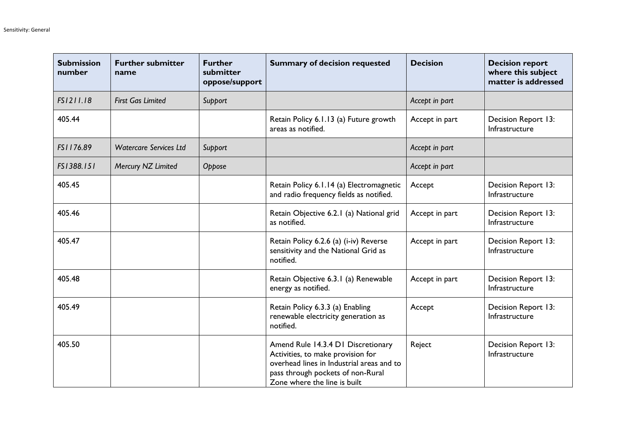| <b>Submission</b><br>number | <b>Further submitter</b><br>name | <b>Further</b><br>submitter<br>oppose/support | <b>Summary of decision requested</b>                                                                                                                                                      | <b>Decision</b> | <b>Decision report</b><br>where this subject<br>matter is addressed |
|-----------------------------|----------------------------------|-----------------------------------------------|-------------------------------------------------------------------------------------------------------------------------------------------------------------------------------------------|-----------------|---------------------------------------------------------------------|
| FS1211.18                   | <b>First Gas Limited</b>         | Support                                       |                                                                                                                                                                                           | Accept in part  |                                                                     |
| 405.44                      |                                  |                                               | Retain Policy 6.1.13 (a) Future growth<br>areas as notified.                                                                                                                              | Accept in part  | Decision Report 13:<br>Infrastructure                               |
| FS1176.89                   | <b>Watercare Services Ltd</b>    | Support                                       |                                                                                                                                                                                           | Accept in part  |                                                                     |
| FS1388.151                  | Mercury NZ Limited               | Oppose                                        |                                                                                                                                                                                           | Accept in part  |                                                                     |
| 405.45                      |                                  |                                               | Retain Policy 6.1.14 (a) Electromagnetic<br>and radio frequency fields as notified.                                                                                                       | Accept          | Decision Report 13:<br>Infrastructure                               |
| 405.46                      |                                  |                                               | Retain Objective 6.2.1 (a) National grid<br>as notified.                                                                                                                                  | Accept in part  | Decision Report 13:<br>Infrastructure                               |
| 405.47                      |                                  |                                               | Retain Policy 6.2.6 (a) (i-iv) Reverse<br>sensitivity and the National Grid as<br>notified.                                                                                               | Accept in part  | Decision Report 13:<br>Infrastructure                               |
| 405.48                      |                                  |                                               | Retain Objective 6.3.1 (a) Renewable<br>energy as notified.                                                                                                                               | Accept in part  | Decision Report 13:<br>Infrastructure                               |
| 405.49                      |                                  |                                               | Retain Policy 6.3.3 (a) Enabling<br>renewable electricity generation as<br>notified.                                                                                                      | Accept          | Decision Report 13:<br>Infrastructure                               |
| 405.50                      |                                  |                                               | Amend Rule 14.3.4 D1 Discretionary<br>Activities, to make provision for<br>overhead lines in Industrial areas and to<br>pass through pockets of non-Rural<br>Zone where the line is built | Reject          | Decision Report 13:<br>Infrastructure                               |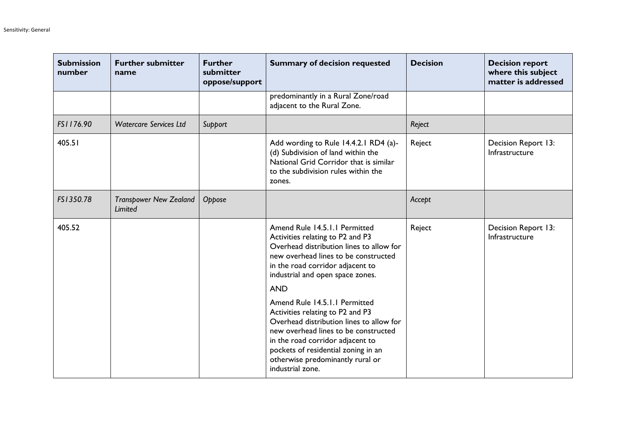| <b>Submission</b><br>number | <b>Further submitter</b><br>name         | <b>Further</b><br>submitter<br>oppose/support | <b>Summary of decision requested</b>                                                                                                                                                                                                                                                     | <b>Decision</b> | <b>Decision report</b><br>where this subject<br>matter is addressed |
|-----------------------------|------------------------------------------|-----------------------------------------------|------------------------------------------------------------------------------------------------------------------------------------------------------------------------------------------------------------------------------------------------------------------------------------------|-----------------|---------------------------------------------------------------------|
|                             |                                          |                                               | predominantly in a Rural Zone/road<br>adjacent to the Rural Zone.                                                                                                                                                                                                                        |                 |                                                                     |
| FS1176.90                   | <b>Watercare Services Ltd</b>            | Support                                       |                                                                                                                                                                                                                                                                                          | Reject          |                                                                     |
| 405.51                      |                                          |                                               | Add wording to Rule 14.4.2.1 RD4 (a)-<br>(d) Subdivision of land within the<br>National Grid Corridor that is similar<br>to the subdivision rules within the<br>zones.                                                                                                                   | Reject          | Decision Report 13:<br>Infrastructure                               |
| FS1350.78                   | <b>Transpower New Zealand</b><br>Limited | Oppose                                        |                                                                                                                                                                                                                                                                                          | Accept          |                                                                     |
| 405.52                      |                                          |                                               | Amend Rule 14.5.1.1 Permitted<br>Activities relating to P2 and P3<br>Overhead distribution lines to allow for<br>new overhead lines to be constructed<br>in the road corridor adjacent to<br>industrial and open space zones.<br><b>AND</b>                                              | Reject          | Decision Report 13:<br>Infrastructure                               |
|                             |                                          |                                               | Amend Rule 14.5.1.1 Permitted<br>Activities relating to P2 and P3<br>Overhead distribution lines to allow for<br>new overhead lines to be constructed<br>in the road corridor adjacent to<br>pockets of residential zoning in an<br>otherwise predominantly rural or<br>industrial zone. |                 |                                                                     |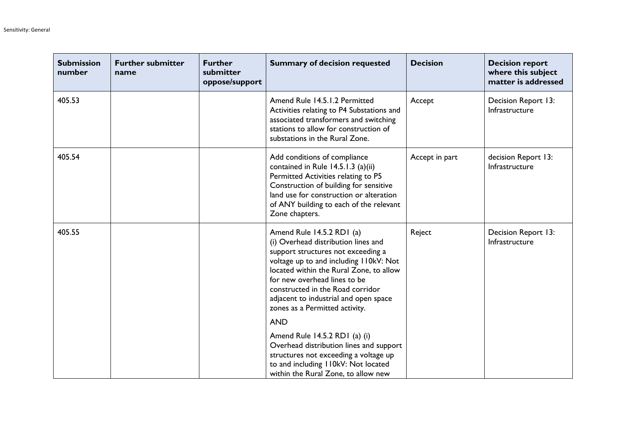| <b>Submission</b><br>number | <b>Further submitter</b><br>name | <b>Further</b><br>submitter<br>oppose/support | <b>Summary of decision requested</b>                                                                                                                                                                                                                                                                                                        | <b>Decision</b> | <b>Decision report</b><br>where this subject<br>matter is addressed |
|-----------------------------|----------------------------------|-----------------------------------------------|---------------------------------------------------------------------------------------------------------------------------------------------------------------------------------------------------------------------------------------------------------------------------------------------------------------------------------------------|-----------------|---------------------------------------------------------------------|
| 405.53                      |                                  |                                               | Amend Rule 14.5.1.2 Permitted<br>Activities relating to P4 Substations and<br>associated transformers and switching<br>stations to allow for construction of<br>substations in the Rural Zone.                                                                                                                                              | Accept          | Decision Report 13:<br>Infrastructure                               |
| 405.54                      |                                  |                                               | Add conditions of compliance<br>contained in Rule 14.5.1.3 (a)(ii)<br>Permitted Activities relating to P5<br>Construction of building for sensitive<br>land use for construction or alteration<br>of ANY building to each of the relevant<br>Zone chapters.                                                                                 | Accept in part  | decision Report 13:<br>Infrastructure                               |
| 405.55                      |                                  |                                               | Amend Rule 14.5.2 RD1 (a)<br>(i) Overhead distribution lines and<br>support structures not exceeding a<br>voltage up to and including I I0kV: Not<br>located within the Rural Zone, to allow<br>for new overhead lines to be<br>constructed in the Road corridor<br>adjacent to industrial and open space<br>zones as a Permitted activity. | Reject          | Decision Report 13:<br>Infrastructure                               |
|                             |                                  |                                               | <b>AND</b>                                                                                                                                                                                                                                                                                                                                  |                 |                                                                     |
|                             |                                  |                                               | Amend Rule 14.5.2 RD1 (a) (i)<br>Overhead distribution lines and support<br>structures not exceeding a voltage up<br>to and including I I0kV: Not located<br>within the Rural Zone, to allow new                                                                                                                                            |                 |                                                                     |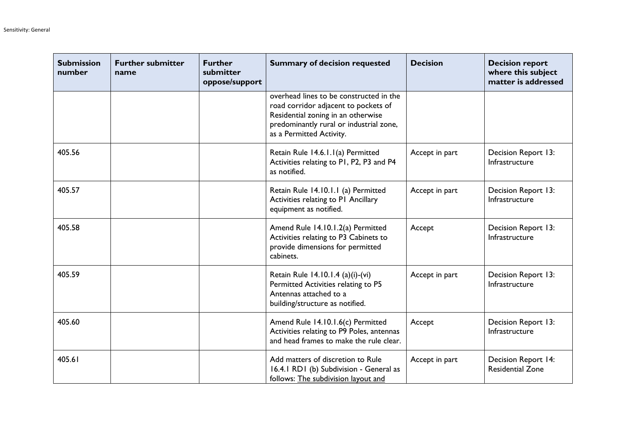| <b>Submission</b><br>number | <b>Further submitter</b><br>name | <b>Further</b><br>submitter<br>oppose/support | <b>Summary of decision requested</b>                                                                                                                                                         | <b>Decision</b> | <b>Decision report</b><br>where this subject<br>matter is addressed |
|-----------------------------|----------------------------------|-----------------------------------------------|----------------------------------------------------------------------------------------------------------------------------------------------------------------------------------------------|-----------------|---------------------------------------------------------------------|
|                             |                                  |                                               | overhead lines to be constructed in the<br>road corridor adjacent to pockets of<br>Residential zoning in an otherwise<br>predominantly rural or industrial zone,<br>as a Permitted Activity. |                 |                                                                     |
| 405.56                      |                                  |                                               | Retain Rule 14.6.1.1(a) Permitted<br>Activities relating to P1, P2, P3 and P4<br>as notified.                                                                                                | Accept in part  | Decision Report 13:<br>Infrastructure                               |
| 405.57                      |                                  |                                               | Retain Rule 14.10.1.1 (a) Permitted<br>Activities relating to PI Ancillary<br>equipment as notified.                                                                                         | Accept in part  | Decision Report 13:<br>Infrastructure                               |
| 405.58                      |                                  |                                               | Amend Rule 14.10.1.2(a) Permitted<br>Activities relating to P3 Cabinets to<br>provide dimensions for permitted<br>cabinets.                                                                  | Accept          | Decision Report 13:<br>Infrastructure                               |
| 405.59                      |                                  |                                               | Retain Rule 14.10.1.4 (a)(i)-(vi)<br>Permitted Activities relating to P5<br>Antennas attached to a<br>building/structure as notified.                                                        | Accept in part  | Decision Report 13:<br>Infrastructure                               |
| 405.60                      |                                  |                                               | Amend Rule 14.10.1.6(c) Permitted<br>Activities relating to P9 Poles, antennas<br>and head frames to make the rule clear.                                                                    | Accept          | Decision Report 13:<br>Infrastructure                               |
| 405.61                      |                                  |                                               | Add matters of discretion to Rule<br>16.4.1 RD1 (b) Subdivision - General as<br>follows: The subdivision layout and                                                                          | Accept in part  | Decision Report 14:<br><b>Residential Zone</b>                      |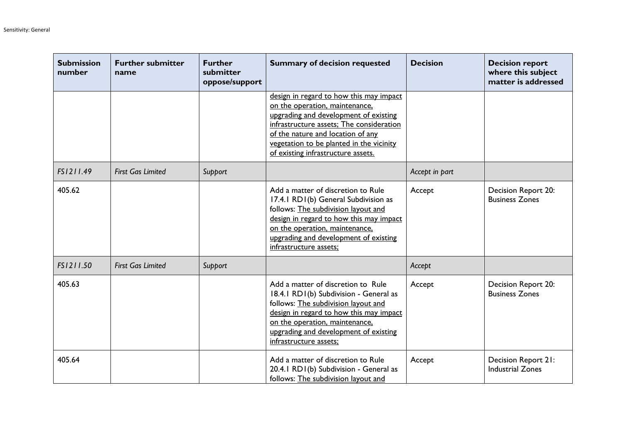| <b>Submission</b><br>number | <b>Further submitter</b><br>name | <b>Further</b><br>submitter<br>oppose/support | <b>Summary of decision requested</b>                                                                                                                                                                                                                                                  | <b>Decision</b> | <b>Decision report</b><br>where this subject<br>matter is addressed |
|-----------------------------|----------------------------------|-----------------------------------------------|---------------------------------------------------------------------------------------------------------------------------------------------------------------------------------------------------------------------------------------------------------------------------------------|-----------------|---------------------------------------------------------------------|
|                             |                                  |                                               | design in regard to how this may impact<br>on the operation, maintenance,<br>upgrading and development of existing<br>infrastructure assets; The consideration<br>of the nature and location of any<br>vegetation to be planted in the vicinity<br>of existing infrastructure assets. |                 |                                                                     |
| FS1211.49                   | <b>First Gas Limited</b>         | Support                                       |                                                                                                                                                                                                                                                                                       | Accept in part  |                                                                     |
| 405.62                      |                                  |                                               | Add a matter of discretion to Rule<br>17.4.1 RD1(b) General Subdivision as<br>follows: The subdivision layout and<br>design in regard to how this may impact<br>on the operation, maintenance,<br>upgrading and development of existing<br>infrastructure assets;                     | Accept          | Decision Report 20:<br><b>Business Zones</b>                        |
| FS1211.50                   | <b>First Gas Limited</b>         | Support                                       |                                                                                                                                                                                                                                                                                       | Accept          |                                                                     |
| 405.63                      |                                  |                                               | Add a matter of discretion to Rule<br>18.4.1 RD1(b) Subdivision - General as<br>follows: The subdivision layout and<br>design in regard to how this may impact<br>on the operation, maintenance,<br>upgrading and development of existing<br>infrastructure assets;                   | Accept          | Decision Report 20:<br><b>Business Zones</b>                        |
| 405.64                      |                                  |                                               | Add a matter of discretion to Rule<br>20.4.1 RD1(b) Subdivision - General as<br>follows: The subdivision layout and                                                                                                                                                                   | Accept          | Decision Report 21:<br><b>Industrial Zones</b>                      |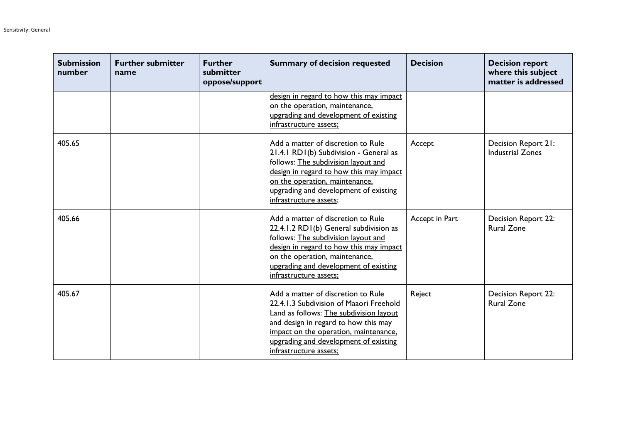| <b>Submission</b><br>number | <b>Further submitter</b><br>name | <b>Further</b><br>submitter<br>oppose/support | <b>Summary of decision requested</b>                                                                                                                                                                                                                                         | <b>Decision</b> | <b>Decision report</b><br>where this subject<br>matter is addressed |
|-----------------------------|----------------------------------|-----------------------------------------------|------------------------------------------------------------------------------------------------------------------------------------------------------------------------------------------------------------------------------------------------------------------------------|-----------------|---------------------------------------------------------------------|
|                             |                                  |                                               | design in regard to how this may impact<br>on the operation, maintenance,<br>upgrading and development of existing<br>infrastructure assets;                                                                                                                                 |                 |                                                                     |
| 405.65                      |                                  |                                               | Add a matter of discretion to Rule<br>21.4.1 RD1(b) Subdivision - General as<br>follows: The subdivision layout and<br>design in regard to how this may impact<br>on the operation, maintenance,<br>upgrading and development of existing<br>infrastructure assets;          | Accept          | Decision Report 21:<br><b>Industrial Zones</b>                      |
| 405.66                      |                                  |                                               | Add a matter of discretion to Rule<br>22.4.1.2 RD1(b) General subdivision as<br>follows: The subdivision layout and<br>design in regard to how this may impact<br>on the operation, maintenance,<br>upgrading and development of existing<br>infrastructure assets;          | Accept in Part  | <b>Decision Report 22:</b><br><b>Rural Zone</b>                     |
| 405.67                      |                                  |                                               | Add a matter of discretion to Rule<br>22.4.1.3 Subdivision of Maaori Freehold<br>Land as follows: The subdivision layout<br>and design in regard to how this may<br>impact on the operation, maintenance,<br>upgrading and development of existing<br>infrastructure assets; | Reject          | <b>Decision Report 22:</b><br><b>Rural Zone</b>                     |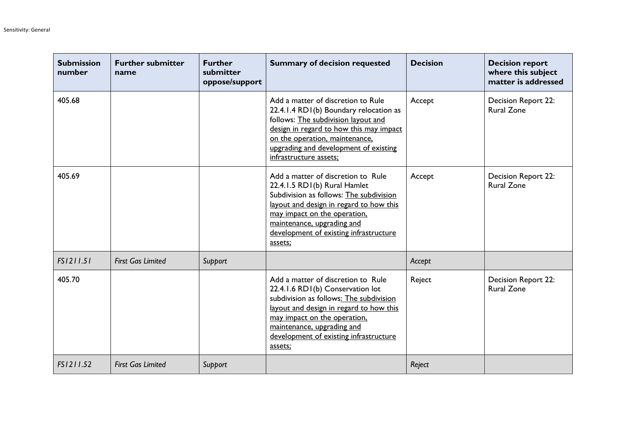| <b>Submission</b><br>number | <b>Further submitter</b><br>name | <b>Further</b><br>submitter<br>oppose/support | <b>Summary of decision requested</b>                                                                                                                                                                                                                                            | <b>Decision</b> | <b>Decision report</b><br>where this subject<br>matter is addressed |
|-----------------------------|----------------------------------|-----------------------------------------------|---------------------------------------------------------------------------------------------------------------------------------------------------------------------------------------------------------------------------------------------------------------------------------|-----------------|---------------------------------------------------------------------|
| 405.68                      |                                  |                                               | Add a matter of discretion to Rule<br>22.4.1.4 RD1(b) Boundary relocation as<br>follows: The subdivision layout and<br>design in regard to how this may impact<br>on the operation, maintenance,<br>upgrading and development of existing<br>infrastructure assets;             | Accept          | <b>Decision Report 22:</b><br><b>Rural Zone</b>                     |
| 405.69                      |                                  |                                               | Add a matter of discretion to Rule<br>22.4.1.5 RD1(b) Rural Hamlet<br>Subdivision as follows: The subdivision<br>layout and design in regard to how this<br>may impact on the operation,<br>maintenance, upgrading and<br>development of existing infrastructure<br>assets;     | Accept          | <b>Decision Report 22:</b><br><b>Rural Zone</b>                     |
| FS1211.51                   | <b>First Gas Limited</b>         | Support                                       |                                                                                                                                                                                                                                                                                 | Accept          |                                                                     |
| 405.70                      |                                  |                                               | Add a matter of discretion to Rule<br>22.4.1.6 RD1(b) Conservation lot<br>subdivision as follows: The subdivision<br>layout and design in regard to how this<br>may impact on the operation.<br>maintenance, upgrading and<br>development of existing infrastructure<br>assets: | Reject          | Decision Report 22:<br><b>Rural Zone</b>                            |
| FS1211.52                   | <b>First Gas Limited</b>         | Support                                       |                                                                                                                                                                                                                                                                                 | Reject          |                                                                     |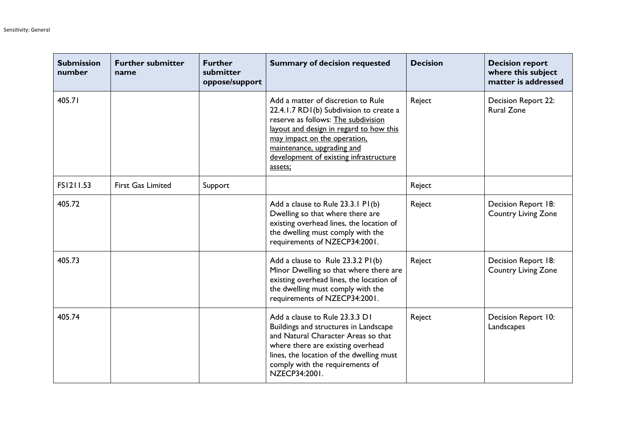| <b>Submission</b><br>number | <b>Further submitter</b><br>name | <b>Further</b><br>submitter<br>oppose/support | <b>Summary of decision requested</b>                                                                                                                                                                                                                                               | <b>Decision</b> | <b>Decision report</b><br>where this subject<br>matter is addressed |
|-----------------------------|----------------------------------|-----------------------------------------------|------------------------------------------------------------------------------------------------------------------------------------------------------------------------------------------------------------------------------------------------------------------------------------|-----------------|---------------------------------------------------------------------|
| 405.71                      |                                  |                                               | Add a matter of discretion to Rule<br>22.4.1.7 RD1(b) Subdivision to create a<br>reserve as follows: The subdivision<br>layout and design in regard to how this<br>may impact on the operation,<br>maintenance, upgrading and<br>development of existing infrastructure<br>assets; | Reject          | <b>Decision Report 22:</b><br><b>Rural Zone</b>                     |
| FS1211.53                   | <b>First Gas Limited</b>         | Support                                       |                                                                                                                                                                                                                                                                                    | Reject          |                                                                     |
| 405.72                      |                                  |                                               | Add a clause to Rule 23.3.1 P1(b)<br>Dwelling so that where there are<br>existing overhead lines, the location of<br>the dwelling must comply with the<br>requirements of NZECP34:2001.                                                                                            | Reject          | Decision Report 18:<br><b>Country Living Zone</b>                   |
| 405.73                      |                                  |                                               | Add a clause to Rule 23.3.2 PI(b)<br>Minor Dwelling so that where there are<br>existing overhead lines, the location of<br>the dwelling must comply with the<br>requirements of NZECP34:2001.                                                                                      | Reject          | Decision Report 18:<br><b>Country Living Zone</b>                   |
| 405.74                      |                                  |                                               | Add a clause to Rule 23.3.3 D1<br>Buildings and structures in Landscape<br>and Natural Character Areas so that<br>where there are existing overhead<br>lines, the location of the dwelling must<br>comply with the requirements of<br>NZECP34:2001.                                | Reject          | Decision Report 10:<br>Landscapes                                   |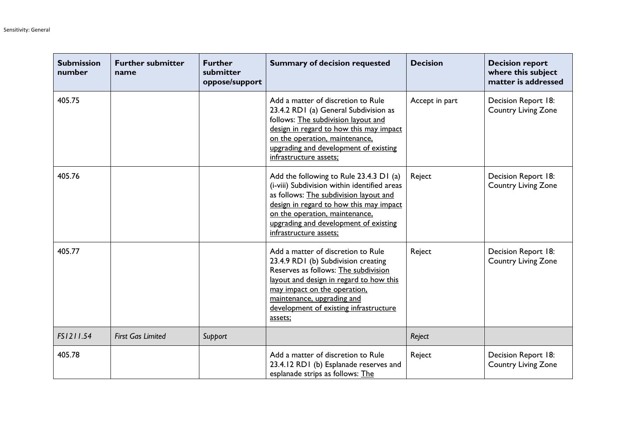| <b>Submission</b><br>number | <b>Further submitter</b><br>name | <b>Further</b><br>submitter<br>oppose/support | <b>Summary of decision requested</b>                                                                                                                                                                                                                                              | <b>Decision</b> | <b>Decision report</b><br>where this subject<br>matter is addressed |
|-----------------------------|----------------------------------|-----------------------------------------------|-----------------------------------------------------------------------------------------------------------------------------------------------------------------------------------------------------------------------------------------------------------------------------------|-----------------|---------------------------------------------------------------------|
| 405.75                      |                                  |                                               | Add a matter of discretion to Rule<br>23.4.2 RD1 (a) General Subdivision as<br>follows: The subdivision layout and<br>design in regard to how this may impact<br>on the operation, maintenance,<br>upgrading and development of existing<br>infrastructure assets;                | Accept in part  | Decision Report 18:<br><b>Country Living Zone</b>                   |
| 405.76                      |                                  |                                               | Add the following to Rule 23.4.3 D1 (a)<br>(i-viii) Subdivision within identified areas<br>as follows: The subdivision layout and<br>design in regard to how this may impact<br>on the operation, maintenance,<br>upgrading and development of existing<br>infrastructure assets; | Reject          | Decision Report 18:<br><b>Country Living Zone</b>                   |
| 405.77                      |                                  |                                               | Add a matter of discretion to Rule<br>23.4.9 RD1 (b) Subdivision creating<br>Reserves as follows: The subdivision<br>layout and design in regard to how this<br>may impact on the operation,<br>maintenance, upgrading and<br>development of existing infrastructure<br>assets;   | Reject          | Decision Report 18:<br><b>Country Living Zone</b>                   |
| FS1211.54                   | <b>First Gas Limited</b>         | Support                                       |                                                                                                                                                                                                                                                                                   | Reject          |                                                                     |
| 405.78                      |                                  |                                               | Add a matter of discretion to Rule<br>23.4.12 RD1 (b) Esplanade reserves and<br>esplanade strips as follows: The                                                                                                                                                                  | Reject          | Decision Report 18:<br><b>Country Living Zone</b>                   |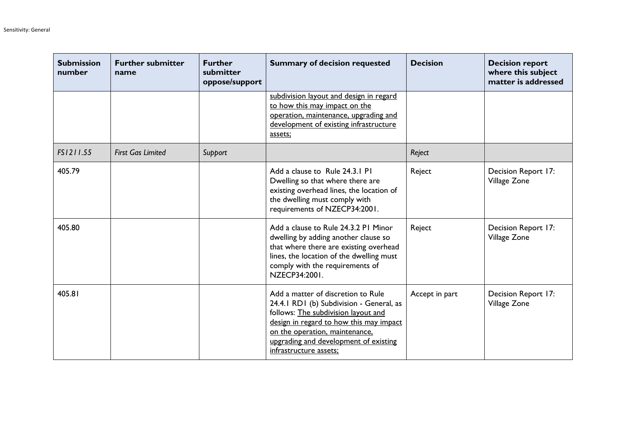| <b>Submission</b><br>number | <b>Further submitter</b><br>name | <b>Further</b><br>submitter<br>oppose/support | <b>Summary of decision requested</b>                                                                                                                                                                                                                                  | <b>Decision</b> | <b>Decision report</b><br>where this subject<br>matter is addressed |
|-----------------------------|----------------------------------|-----------------------------------------------|-----------------------------------------------------------------------------------------------------------------------------------------------------------------------------------------------------------------------------------------------------------------------|-----------------|---------------------------------------------------------------------|
|                             |                                  |                                               | subdivision layout and design in regard<br>to how this may impact on the<br>operation, maintenance, upgrading and<br>development of existing infrastructure<br>assets;                                                                                                |                 |                                                                     |
| FS1211.55                   | <b>First Gas Limited</b>         | Support                                       |                                                                                                                                                                                                                                                                       | Reject          |                                                                     |
| 405.79                      |                                  |                                               | Add a clause to Rule 24.3.1 P1<br>Dwelling so that where there are<br>existing overhead lines, the location of<br>the dwelling must comply with<br>requirements of NZECP34:2001.                                                                                      | Reject          | Decision Report 17:<br>Village Zone                                 |
| 405.80                      |                                  |                                               | Add a clause to Rule 24.3.2 PI Minor<br>dwelling by adding another clause so<br>that where there are existing overhead<br>lines, the location of the dwelling must<br>comply with the requirements of<br>NZECP34:2001.                                                | Reject          | Decision Report 17:<br>Village Zone                                 |
| 405.81                      |                                  |                                               | Add a matter of discretion to Rule<br>24.4.1 RD1 (b) Subdivision - General, as<br>follows: The subdivision layout and<br>design in regard to how this may impact<br>on the operation, maintenance,<br>upgrading and development of existing<br>infrastructure assets; | Accept in part  | Decision Report 17:<br>Village Zone                                 |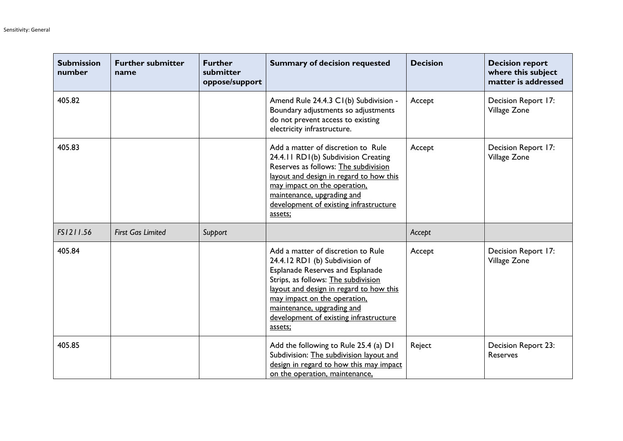| <b>Submission</b><br>number | <b>Further submitter</b><br>name | <b>Further</b><br>submitter<br>oppose/support | <b>Summary of decision requested</b>                                                                                                                                                                                                                                                                                 | <b>Decision</b> | <b>Decision report</b><br>where this subject<br>matter is addressed |
|-----------------------------|----------------------------------|-----------------------------------------------|----------------------------------------------------------------------------------------------------------------------------------------------------------------------------------------------------------------------------------------------------------------------------------------------------------------------|-----------------|---------------------------------------------------------------------|
| 405.82                      |                                  |                                               | Amend Rule 24.4.3 C1(b) Subdivision -<br>Boundary adjustments so adjustments<br>do not prevent access to existing<br>electricity infrastructure.                                                                                                                                                                     | Accept          | Decision Report 17:<br>Village Zone                                 |
| 405.83                      |                                  |                                               | Add a matter of discretion to Rule<br>24.4.11 RD1(b) Subdivision Creating<br>Reserves as follows: The subdivision<br>layout and design in regard to how this<br>may impact on the operation,<br>maintenance, upgrading and<br>development of existing infrastructure<br>assets;                                      | Accept          | Decision Report 17:<br>Village Zone                                 |
| FS1211.56                   | <b>First Gas Limited</b>         | Support                                       |                                                                                                                                                                                                                                                                                                                      | Accept          |                                                                     |
| 405.84                      |                                  |                                               | Add a matter of discretion to Rule<br>24.4.12 RD1 (b) Subdivision of<br><b>Esplanade Reserves and Esplanade</b><br>Strips, as follows: The subdivision<br>layout and design in regard to how this<br>may impact on the operation,<br>maintenance, upgrading and<br>development of existing infrastructure<br>assets; | Accept          | Decision Report 17:<br>Village Zone                                 |
| 405.85                      |                                  |                                               | Add the following to Rule 25.4 (a) D1<br>Subdivision: The subdivision layout and<br>design in regard to how this may impact<br>on the operation, maintenance,                                                                                                                                                        | Reject          | Decision Report 23:<br>Reserves                                     |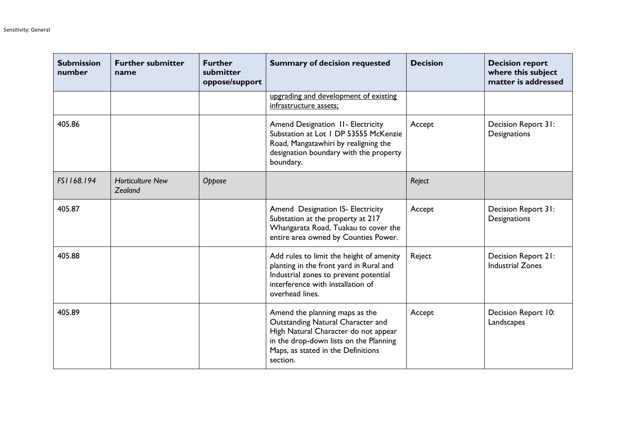| <b>Submission</b><br>number | <b>Further submitter</b><br>name   | <b>Further</b><br>submitter<br>oppose/support | <b>Summary of decision requested</b>                                                                                                                                                                    | <b>Decision</b> | <b>Decision report</b><br>where this subject<br>matter is addressed |
|-----------------------------|------------------------------------|-----------------------------------------------|---------------------------------------------------------------------------------------------------------------------------------------------------------------------------------------------------------|-----------------|---------------------------------------------------------------------|
|                             |                                    |                                               | upgrading and development of existing<br>infrastructure assets;                                                                                                                                         |                 |                                                                     |
| 405.86                      |                                    |                                               | Amend Designation II- Electricity<br>Substation at Lot 1 DP 53555 McKenzie<br>Road, Mangatawhiri by realigning the<br>designation boundary with the property<br>boundary.                               | Accept          | Decision Report 31:<br>Designations                                 |
| FS1168.194                  | <b>Horticulture New</b><br>Zealand | Oppose                                        |                                                                                                                                                                                                         | Reject          |                                                                     |
| 405.87                      |                                    |                                               | Amend Designation I5- Electricity<br>Substation at the property at 217<br>Whangarata Road, Tuakau to cover the<br>entire area owned by Counties Power.                                                  | Accept          | Decision Report 31:<br>Designations                                 |
| 405.88                      |                                    |                                               | Add rules to limit the height of amenity<br>planting in the front yard in Rural and<br>Industrial zones to prevent potential<br>interference with installation of<br>overhead lines.                    | Reject          | Decision Report 21:<br><b>Industrial Zones</b>                      |
| 405.89                      |                                    |                                               | Amend the planning maps as the<br>Outstanding Natural Character and<br>High Natural Character do not appear<br>in the drop-down lists on the Planning<br>Maps, as stated in the Definitions<br>section. | Accept          | Decision Report 10:<br>Landscapes                                   |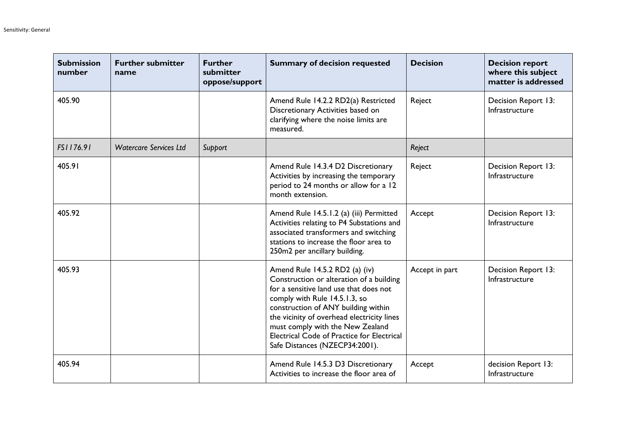| <b>Submission</b><br>number | <b>Further submitter</b><br>name | <b>Further</b><br>submitter<br>oppose/support | <b>Summary of decision requested</b>                                                                                                                                                                                                                                                                                                                           | <b>Decision</b> | <b>Decision report</b><br>where this subject<br>matter is addressed |
|-----------------------------|----------------------------------|-----------------------------------------------|----------------------------------------------------------------------------------------------------------------------------------------------------------------------------------------------------------------------------------------------------------------------------------------------------------------------------------------------------------------|-----------------|---------------------------------------------------------------------|
| 405.90                      |                                  |                                               | Amend Rule 14.2.2 RD2(a) Restricted<br>Discretionary Activities based on<br>clarifying where the noise limits are<br>measured.                                                                                                                                                                                                                                 | Reject          | Decision Report 13:<br>Infrastructure                               |
| FS1176.91                   | <b>Watercare Services Ltd</b>    | Support                                       |                                                                                                                                                                                                                                                                                                                                                                | Reject          |                                                                     |
| 405.91                      |                                  |                                               | Amend Rule 14.3.4 D2 Discretionary<br>Activities by increasing the temporary<br>period to 24 months or allow for a 12<br>month extension.                                                                                                                                                                                                                      | Reject          | Decision Report 13:<br>Infrastructure                               |
| 405.92                      |                                  |                                               | Amend Rule 14.5.1.2 (a) (iii) Permitted<br>Activities relating to P4 Substations and<br>associated transformers and switching<br>stations to increase the floor area to<br>250m2 per ancillary building.                                                                                                                                                       | Accept          | Decision Report 13:<br>Infrastructure                               |
| 405.93                      |                                  |                                               | Amend Rule 14.5.2 RD2 (a) (iv)<br>Construction or alteration of a building<br>for a sensitive land use that does not<br>comply with Rule 14.5.1.3, so<br>construction of ANY building within<br>the vicinity of overhead electricity lines<br>must comply with the New Zealand<br>Electrical Code of Practice for Electrical<br>Safe Distances (NZECP34:2001). | Accept in part  | Decision Report 13:<br>Infrastructure                               |
| 405.94                      |                                  |                                               | Amend Rule 14.5.3 D3 Discretionary<br>Activities to increase the floor area of                                                                                                                                                                                                                                                                                 | Accept          | decision Report 13:<br>Infrastructure                               |